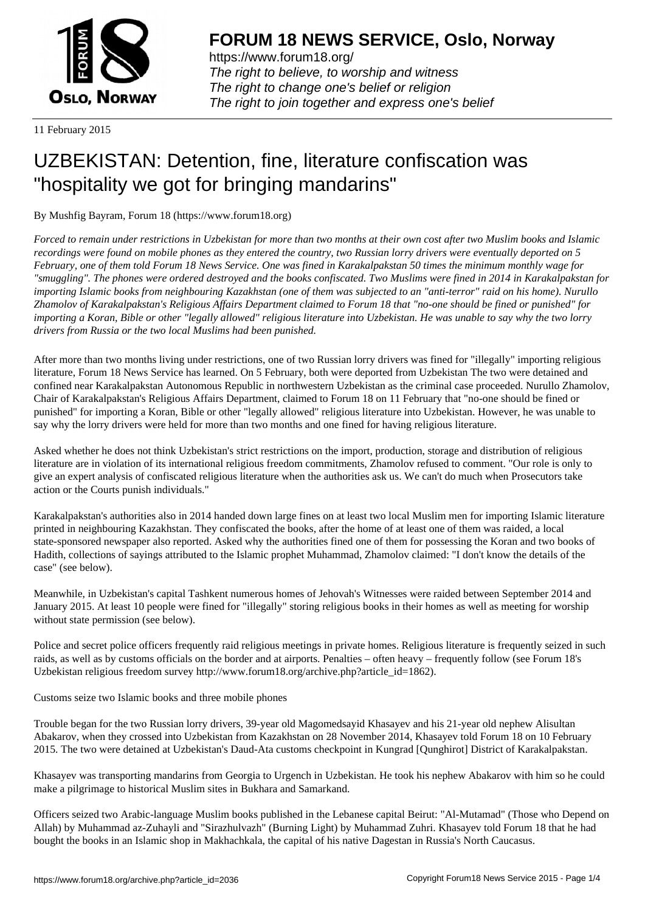

https://www.forum18.org/ The right to believe, to worship and witness The right to change one's belief or religion [The right to join together a](https://www.forum18.org/)nd express one's belief

11 February 2015

## [UZBEKISTAN:](https://www.forum18.org) Detention, fine, literature confiscation was "hospitality we got for bringing mandarins"

By Mushfig Bayram, Forum 18 (https://www.forum18.org)

*Forced to remain under restrictions in Uzbekistan for more than two months at their own cost after two Muslim books and Islamic recordings were found on mobile phones as they entered the country, two Russian lorry drivers were eventually deported on 5 February, one of them told Forum 18 News Service. One was fined in Karakalpakstan 50 times the minimum monthly wage for "smuggling". The phones were ordered destroyed and the books confiscated. Two Muslims were fined in 2014 in Karakalpakstan for importing Islamic books from neighbouring Kazakhstan (one of them was subjected to an "anti-terror" raid on his home). Nurullo Zhamolov of Karakalpakstan's Religious Affairs Department claimed to Forum 18 that "no-one should be fined or punished" for importing a Koran, Bible or other "legally allowed" religious literature into Uzbekistan. He was unable to say why the two lorry drivers from Russia or the two local Muslims had been punished.*

After more than two months living under restrictions, one of two Russian lorry drivers was fined for "illegally" importing religious literature, Forum 18 News Service has learned. On 5 February, both were deported from Uzbekistan The two were detained and confined near Karakalpakstan Autonomous Republic in northwestern Uzbekistan as the criminal case proceeded. Nurullo Zhamolov, Chair of Karakalpakstan's Religious Affairs Department, claimed to Forum 18 on 11 February that "no-one should be fined or punished" for importing a Koran, Bible or other "legally allowed" religious literature into Uzbekistan. However, he was unable to say why the lorry drivers were held for more than two months and one fined for having religious literature.

Asked whether he does not think Uzbekistan's strict restrictions on the import, production, storage and distribution of religious literature are in violation of its international religious freedom commitments, Zhamolov refused to comment. "Our role is only to give an expert analysis of confiscated religious literature when the authorities ask us. We can't do much when Prosecutors take action or the Courts punish individuals."

Karakalpakstan's authorities also in 2014 handed down large fines on at least two local Muslim men for importing Islamic literature printed in neighbouring Kazakhstan. They confiscated the books, after the home of at least one of them was raided, a local state-sponsored newspaper also reported. Asked why the authorities fined one of them for possessing the Koran and two books of Hadith, collections of sayings attributed to the Islamic prophet Muhammad, Zhamolov claimed: "I don't know the details of the case" (see below).

Meanwhile, in Uzbekistan's capital Tashkent numerous homes of Jehovah's Witnesses were raided between September 2014 and January 2015. At least 10 people were fined for "illegally" storing religious books in their homes as well as meeting for worship without state permission (see below).

Police and secret police officers frequently raid religious meetings in private homes. Religious literature is frequently seized in such raids, as well as by customs officials on the border and at airports. Penalties – often heavy – frequently follow (see Forum 18's Uzbekistan religious freedom survey http://www.forum18.org/archive.php?article\_id=1862).

Customs seize two Islamic books and three mobile phones

Trouble began for the two Russian lorry drivers, 39-year old Magomedsayid Khasayev and his 21-year old nephew Alisultan Abakarov, when they crossed into Uzbekistan from Kazakhstan on 28 November 2014, Khasayev told Forum 18 on 10 February 2015. The two were detained at Uzbekistan's Daud-Ata customs checkpoint in Kungrad [Qunghirot] District of Karakalpakstan.

Khasayev was transporting mandarins from Georgia to Urgench in Uzbekistan. He took his nephew Abakarov with him so he could make a pilgrimage to historical Muslim sites in Bukhara and Samarkand.

Officers seized two Arabic-language Muslim books published in the Lebanese capital Beirut: "Al-Mutamad" (Those who Depend on Allah) by Muhammad az-Zuhayli and "Sirazhulvazh" (Burning Light) by Muhammad Zuhri. Khasayev told Forum 18 that he had bought the books in an Islamic shop in Makhachkala, the capital of his native Dagestan in Russia's North Caucasus.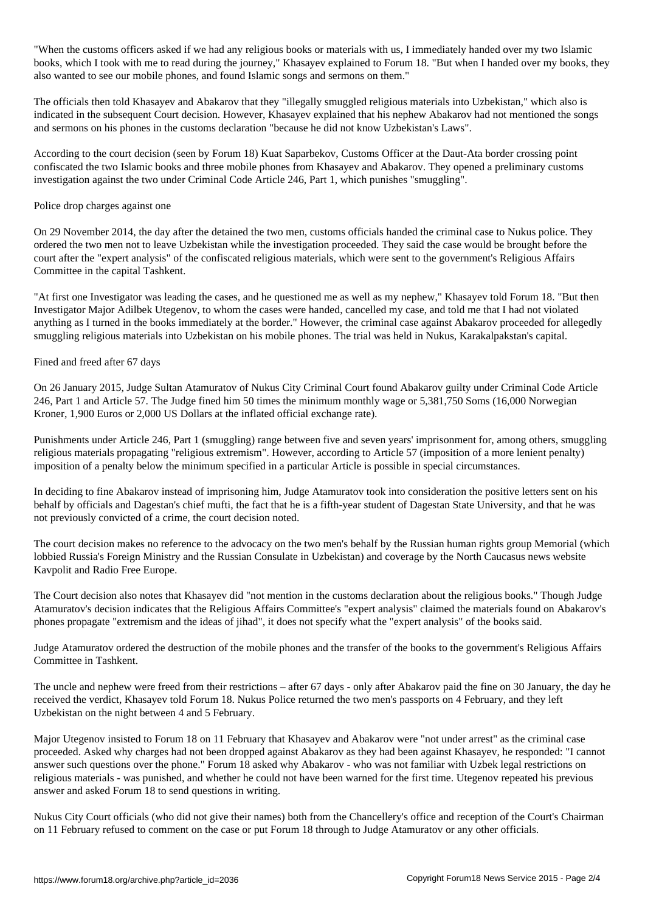"When the customs officers asked if we had any religious books or materials with us, I immediately handed over my two Islamic books, which I took with me to read during the journey," Khasayev explained to Forum 18. "But when I handed over my books, they also wanted to see our mobile phones, and found Islamic songs and sermons on them."

The officials then told Khasayev and Abakarov that they "illegally smuggled religious materials into Uzbekistan," which also is indicated in the subsequent Court decision. However, Khasayev explained that his nephew Abakarov had not mentioned the songs and sermons on his phones in the customs declaration "because he did not know Uzbekistan's Laws".

According to the court decision (seen by Forum 18) Kuat Saparbekov, Customs Officer at the Daut-Ata border crossing point confiscated the two Islamic books and three mobile phones from Khasayev and Abakarov. They opened a preliminary customs investigation against the two under Criminal Code Article 246, Part 1, which punishes "smuggling".

## Police drop charges against one

On 29 November 2014, the day after the detained the two men, customs officials handed the criminal case to Nukus police. They ordered the two men not to leave Uzbekistan while the investigation proceeded. They said the case would be brought before the court after the "expert analysis" of the confiscated religious materials, which were sent to the government's Religious Affairs Committee in the capital Tashkent.

"At first one Investigator was leading the cases, and he questioned me as well as my nephew," Khasayev told Forum 18. "But then Investigator Major Adilbek Utegenov, to whom the cases were handed, cancelled my case, and told me that I had not violated anything as I turned in the books immediately at the border." However, the criminal case against Abakarov proceeded for allegedly smuggling religious materials into Uzbekistan on his mobile phones. The trial was held in Nukus, Karakalpakstan's capital.

## Fined and freed after 67 days

On 26 January 2015, Judge Sultan Atamuratov of Nukus City Criminal Court found Abakarov guilty under Criminal Code Article 246, Part 1 and Article 57. The Judge fined him 50 times the minimum monthly wage or 5,381,750 Soms (16,000 Norwegian Kroner, 1,900 Euros or 2,000 US Dollars at the inflated official exchange rate).

Punishments under Article 246, Part 1 (smuggling) range between five and seven years' imprisonment for, among others, smuggling religious materials propagating "religious extremism". However, according to Article 57 (imposition of a more lenient penalty) imposition of a penalty below the minimum specified in a particular Article is possible in special circumstances.

In deciding to fine Abakarov instead of imprisoning him, Judge Atamuratov took into consideration the positive letters sent on his behalf by officials and Dagestan's chief mufti, the fact that he is a fifth-year student of Dagestan State University, and that he was not previously convicted of a crime, the court decision noted.

The court decision makes no reference to the advocacy on the two men's behalf by the Russian human rights group Memorial (which lobbied Russia's Foreign Ministry and the Russian Consulate in Uzbekistan) and coverage by the North Caucasus news website Kavpolit and Radio Free Europe.

The Court decision also notes that Khasayev did "not mention in the customs declaration about the religious books." Though Judge Atamuratov's decision indicates that the Religious Affairs Committee's "expert analysis" claimed the materials found on Abakarov's phones propagate "extremism and the ideas of jihad", it does not specify what the "expert analysis" of the books said.

Judge Atamuratov ordered the destruction of the mobile phones and the transfer of the books to the government's Religious Affairs Committee in Tashkent.

The uncle and nephew were freed from their restrictions – after 67 days - only after Abakarov paid the fine on 30 January, the day he received the verdict, Khasayev told Forum 18. Nukus Police returned the two men's passports on 4 February, and they left Uzbekistan on the night between 4 and 5 February.

Major Utegenov insisted to Forum 18 on 11 February that Khasayev and Abakarov were "not under arrest" as the criminal case proceeded. Asked why charges had not been dropped against Abakarov as they had been against Khasayev, he responded: "I cannot answer such questions over the phone." Forum 18 asked why Abakarov - who was not familiar with Uzbek legal restrictions on religious materials - was punished, and whether he could not have been warned for the first time. Utegenov repeated his previous answer and asked Forum 18 to send questions in writing.

Nukus City Court officials (who did not give their names) both from the Chancellery's office and reception of the Court's Chairman on 11 February refused to comment on the case or put Forum 18 through to Judge Atamuratov or any other officials.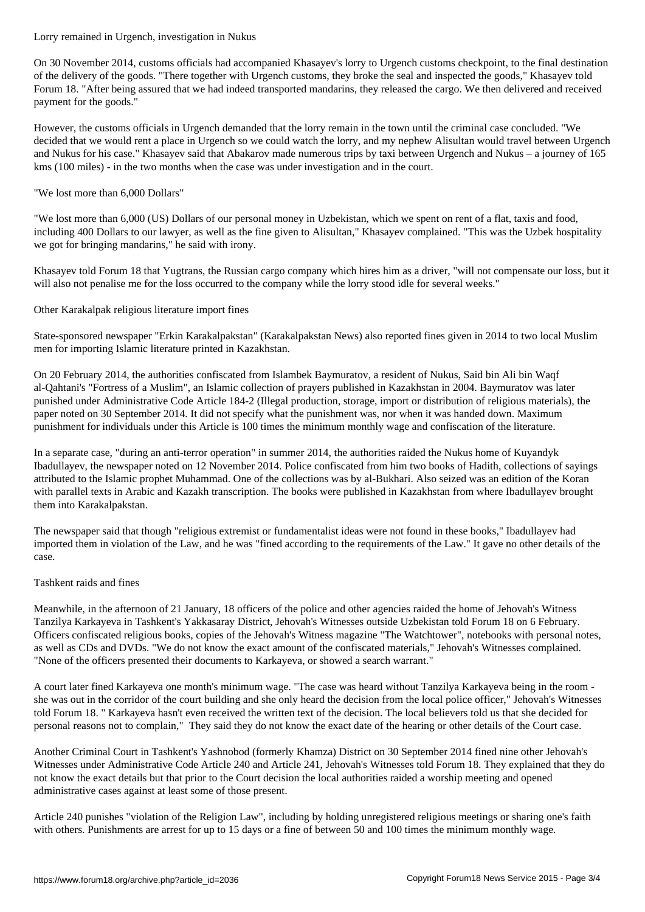On 30 November 2014, customs officials had accompanied Khasayev's lorry to Urgench customs checkpoint, to the final destination of the delivery of the goods. "There together with Urgench customs, they broke the seal and inspected the goods," Khasayev told Forum 18. "After being assured that we had indeed transported mandarins, they released the cargo. We then delivered and received payment for the goods."

However, the customs officials in Urgench demanded that the lorry remain in the town until the criminal case concluded. "We decided that we would rent a place in Urgench so we could watch the lorry, and my nephew Alisultan would travel between Urgench and Nukus for his case." Khasayev said that Abakarov made numerous trips by taxi between Urgench and Nukus – a journey of 165 kms (100 miles) - in the two months when the case was under investigation and in the court.

"We lost more than 6,000 Dollars"

"We lost more than 6,000 (US) Dollars of our personal money in Uzbekistan, which we spent on rent of a flat, taxis and food, including 400 Dollars to our lawyer, as well as the fine given to Alisultan," Khasayev complained. "This was the Uzbek hospitality we got for bringing mandarins," he said with irony.

Khasayev told Forum 18 that Yugtrans, the Russian cargo company which hires him as a driver, "will not compensate our loss, but it will also not penalise me for the loss occurred to the company while the lorry stood idle for several weeks."

Other Karakalpak religious literature import fines

State-sponsored newspaper "Erkin Karakalpakstan" (Karakalpakstan News) also reported fines given in 2014 to two local Muslim men for importing Islamic literature printed in Kazakhstan.

On 20 February 2014, the authorities confiscated from Islambek Baymuratov, a resident of Nukus, Said bin Ali bin Waqf al-Qahtani's "Fortress of a Muslim", an Islamic collection of prayers published in Kazakhstan in 2004. Baymuratov was later punished under Administrative Code Article 184-2 (Illegal production, storage, import or distribution of religious materials), the paper noted on 30 September 2014. It did not specify what the punishment was, nor when it was handed down. Maximum punishment for individuals under this Article is 100 times the minimum monthly wage and confiscation of the literature.

In a separate case, "during an anti-terror operation" in summer 2014, the authorities raided the Nukus home of Kuyandyk Ibadullayev, the newspaper noted on 12 November 2014. Police confiscated from him two books of Hadith, collections of sayings attributed to the Islamic prophet Muhammad. One of the collections was by al-Bukhari. Also seized was an edition of the Koran with parallel texts in Arabic and Kazakh transcription. The books were published in Kazakhstan from where Ibadullayev brought them into Karakalpakstan.

The newspaper said that though "religious extremist or fundamentalist ideas were not found in these books," Ibadullayev had imported them in violation of the Law, and he was "fined according to the requirements of the Law." It gave no other details of the case.

## Tashkent raids and fines

Meanwhile, in the afternoon of 21 January, 18 officers of the police and other agencies raided the home of Jehovah's Witness Tanzilya Karkayeva in Tashkent's Yakkasaray District, Jehovah's Witnesses outside Uzbekistan told Forum 18 on 6 February. Officers confiscated religious books, copies of the Jehovah's Witness magazine "The Watchtower", notebooks with personal notes, as well as CDs and DVDs. "We do not know the exact amount of the confiscated materials," Jehovah's Witnesses complained. "None of the officers presented their documents to Karkayeva, or showed a search warrant."

A court later fined Karkayeva one month's minimum wage. "The case was heard without Tanzilya Karkayeva being in the room she was out in the corridor of the court building and she only heard the decision from the local police officer," Jehovah's Witnesses told Forum 18. " Karkayeva hasn't even received the written text of the decision. The local believers told us that she decided for personal reasons not to complain," They said they do not know the exact date of the hearing or other details of the Court case.

Another Criminal Court in Tashkent's Yashnobod (formerly Khamza) District on 30 September 2014 fined nine other Jehovah's Witnesses under Administrative Code Article 240 and Article 241, Jehovah's Witnesses told Forum 18. They explained that they do not know the exact details but that prior to the Court decision the local authorities raided a worship meeting and opened administrative cases against at least some of those present.

Article 240 punishes "violation of the Religion Law", including by holding unregistered religious meetings or sharing one's faith with others. Punishments are arrest for up to 15 days or a fine of between 50 and 100 times the minimum monthly wage.